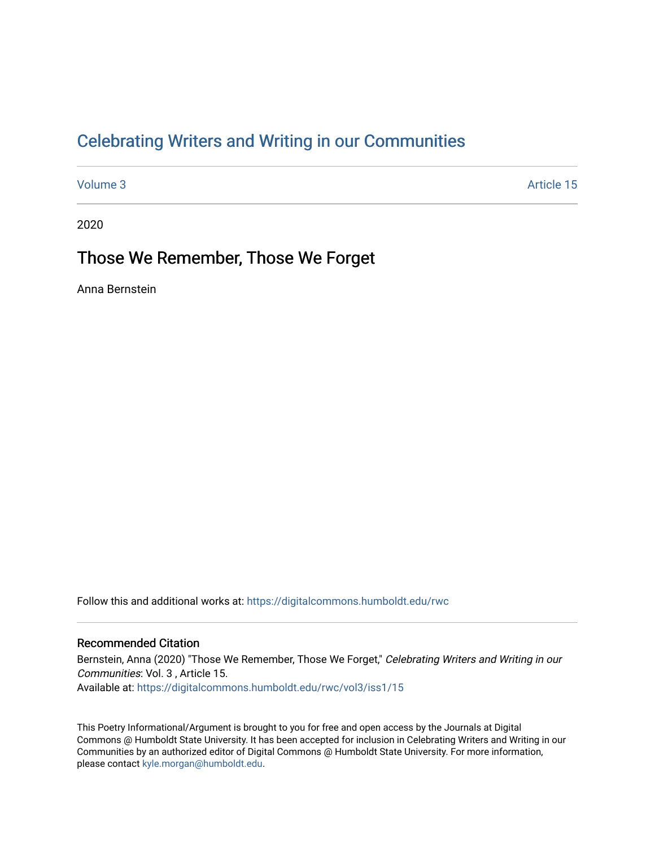## [Celebrating Writers and Writing in our Communities](https://digitalcommons.humboldt.edu/rwc)

[Volume 3](https://digitalcommons.humboldt.edu/rwc/vol3) Article 15

2020

### Those We Remember, Those We Forget

Anna Bernstein

Follow this and additional works at: [https://digitalcommons.humboldt.edu/rwc](https://digitalcommons.humboldt.edu/rwc?utm_source=digitalcommons.humboldt.edu%2Frwc%2Fvol3%2Fiss1%2F15&utm_medium=PDF&utm_campaign=PDFCoverPages) 

#### Recommended Citation

Bernstein, Anna (2020) "Those We Remember, Those We Forget," Celebrating Writers and Writing in our Communities: Vol. 3 , Article 15. Available at: [https://digitalcommons.humboldt.edu/rwc/vol3/iss1/15](https://digitalcommons.humboldt.edu/rwc/vol3/iss1/15?utm_source=digitalcommons.humboldt.edu%2Frwc%2Fvol3%2Fiss1%2F15&utm_medium=PDF&utm_campaign=PDFCoverPages) 

This Poetry Informational/Argument is brought to you for free and open access by the Journals at Digital Commons @ Humboldt State University. It has been accepted for inclusion in Celebrating Writers and Writing in our Communities by an authorized editor of Digital Commons @ Humboldt State University. For more information, please contact [kyle.morgan@humboldt.edu.](mailto:kyle.morgan@humboldt.edu)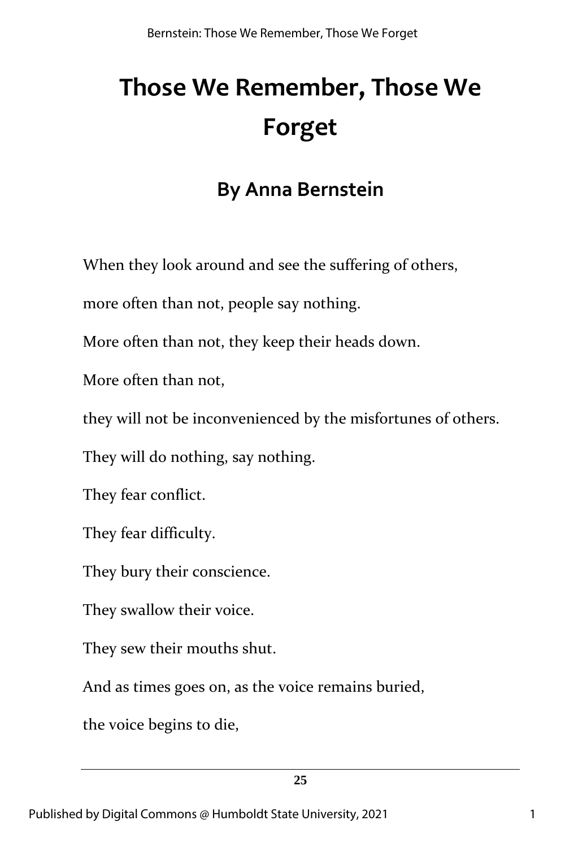# **Those We Remember, Those We Forget**

## **By Anna Bernstein**

When they look around and see the suffering of others,

more often than not, people say nothing.

More often than not, they keep their heads down.

More often than not,

they will not be inconvenienced by the misfortunes of others.

They will do nothing, say nothing.

They fear conflict.

They fear difficulty.

They bury their conscience.

They swallow their voice.

They sew their mouths shut.

And as times goes on, as the voice remains buried,

the voice begins to die,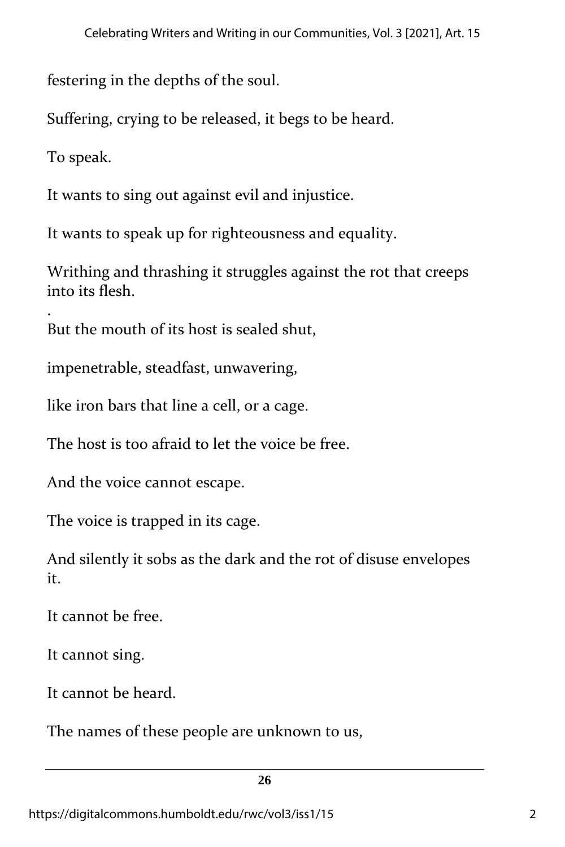festering in the depths of the soul.

Suffering, crying to be released, it begs to be heard.

To speak.

It wants to sing out against evil and injustice.

It wants to speak up for righteousness and equality.

Writhing and thrashing it struggles against the rot that creeps into its flesh.

. But the mouth of its host is sealed shut,

impenetrable, steadfast, unwavering,

like iron bars that line a cell, or a cage.

The host is too afraid to let the voice be free.

And the voice cannot escape.

The voice is trapped in its cage.

And silently it sobs as the dark and the rot of disuse envelopes it.

It cannot be free.

It cannot sing.

It cannot be heard.

The names of these people are unknown to us,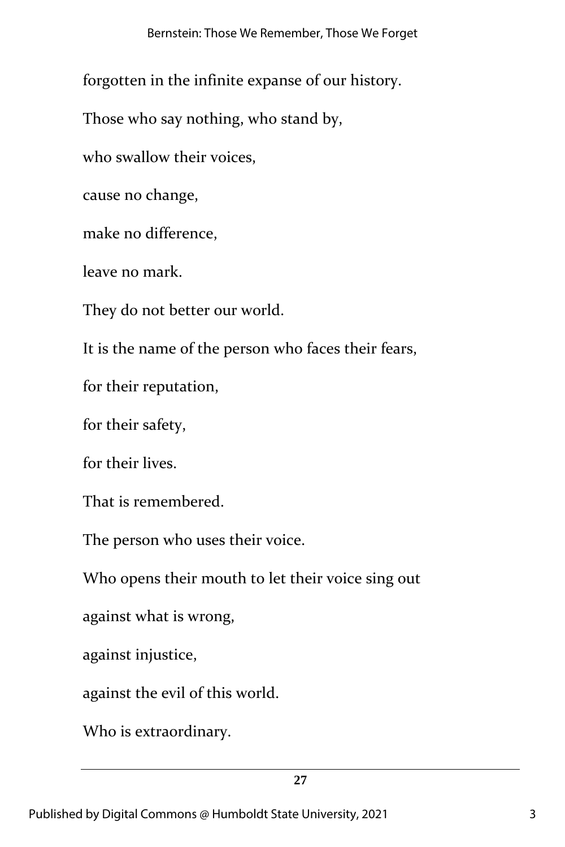forgotten in the infinite expanse of our history.

Those who say nothing, who stand by,

who swallow their voices,

cause no change,

make no difference,

leave no mark.

They do not better our world.

It is the name of the person who faces their fears,

for their reputation,

for their safety,

for their lives.

That is remembered.

The person who uses their voice.

Who opens their mouth to let their voice sing out

against what is wrong,

against injustice,

against the evil of this world.

Who is extraordinary.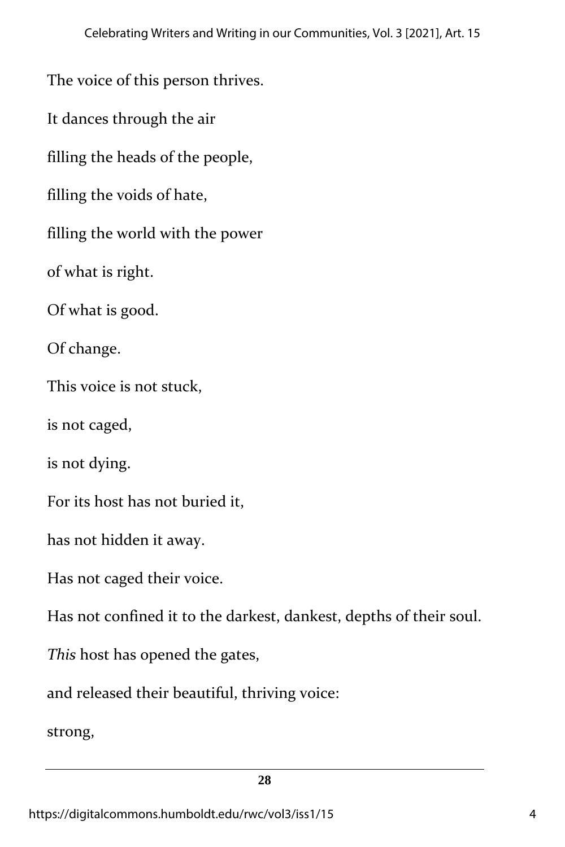The voice of this person thrives.

It dances through the air

filling the heads of the people,

filling the voids of hate,

filling the world with the power

of what is right.

Of what is good.

Of change.

This voice is not stuck,

is not caged,

is not dying.

For its host has not buried it,

has not hidden it away.

Has not caged their voice.

Has not confined it to the darkest, dankest, depths of their soul.

*This* host has opened the gates,

and released their beautiful, thriving voice:

strong,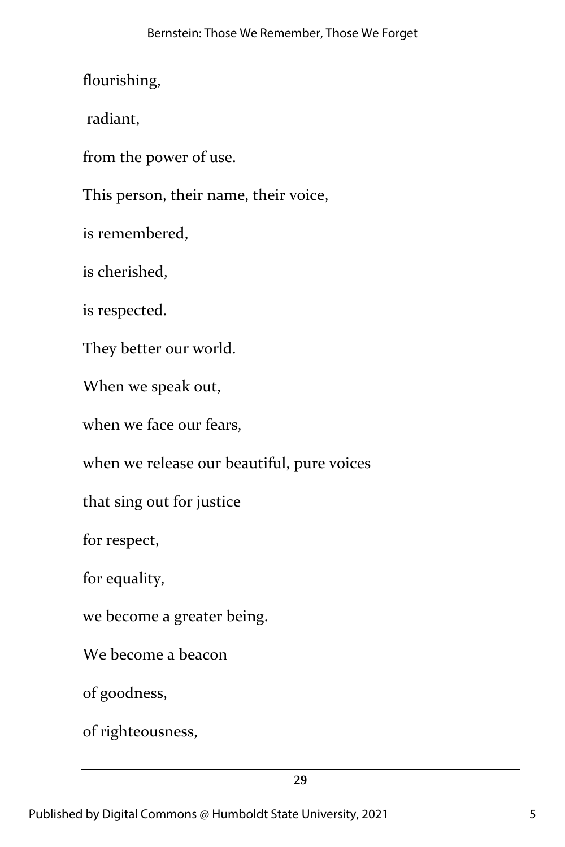flourishing,

radiant,

from the power of use.

This person, their name, their voice,

is remembered,

is cherished,

is respected.

They better our world.

When we speak out,

when we face our fears,

when we release our beautiful, pure voices

that sing out for justice

for respect,

for equality,

we become a greater being.

We become a beacon

of goodness,

of righteousness,